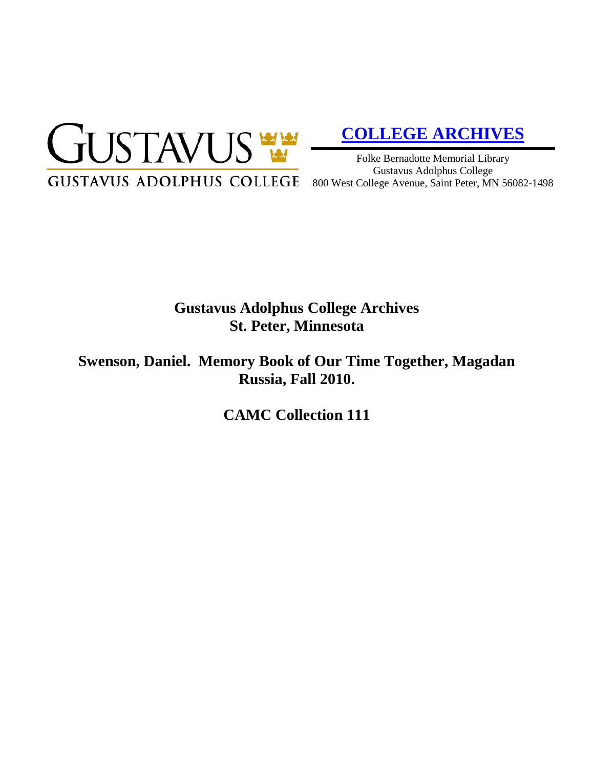

# **[COLLEGE ARCHIVES](http://gustavus.edu/academics/library/archives/)**

Folke Bernadotte Memorial Library Gustavus Adolphus College 800 West College Avenue, Saint Peter, MN 56082-1498

# **Gustavus Adolphus College Archives St. Peter, Minnesota**

**Swenson, Daniel. Memory Book of Our Time Together, Magadan Russia, Fall 2010.**

**CAMC Collection 111**